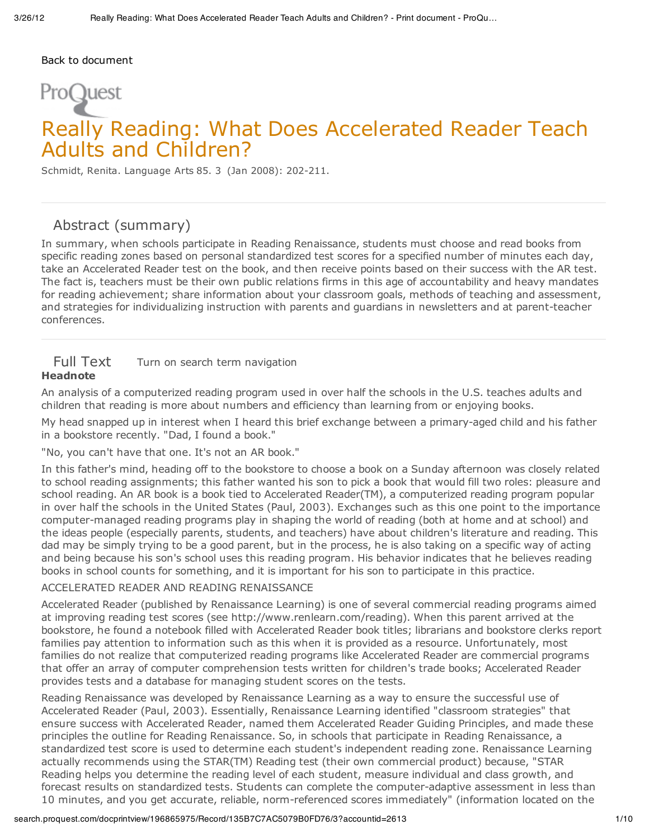#### Back to document

# ProQuest

# Really Reading: What Does Accelerated Reader Teach Adults and Children?

Schmidt, Renita. Language Arts 85. 3 (Jan 2008): 202-211.

## Abstract (summary)

In summary, when schools participate in Reading Renaissance, students must choose and read books from specific reading zones based on personal standardized test scores for a specified number of minutes each day, take an Accelerated Reader test on the book, and then receive points based on their success with the AR test. The fact is, teachers must be their own public relations firms in this age of accountability and heavy mandates for reading achievement; share information about your classroom goals, methods of teaching and assessment, and strategies for individualizing instruction with parents and guardians in newsletters and at parent-teacher conferences.

#### Full Text Turn on search term navigation **Headnote**

An analysis of a computerized reading program used in over half the schools in the U.S. teaches adults and children that reading is more about numbers and efficiency than learning from or enjoying books.

My head snapped up in interest when I heard this brief exchange between a primary-aged child and his father in a bookstore recently. "Dad, I found a book."

"No, you can't have that one. It's not an AR book."

In this father's mind, heading off to the bookstore to choose a book on a Sunday afternoon was closely related to school reading assignments; this father wanted his son to pick a book that would fill two roles: pleasure and school reading. An AR book is a book tied to Accelerated Reader(TM), a computerized reading program popular in over half the schools in the United States (Paul, 2003). Exchanges such as this one point to the importance computer-managed reading programs play in shaping the world of reading (both at home and at school) and the ideas people (especially parents, students, and teachers) have about children's literature and reading. This dad may be simply trying to be a good parent, but in the process, he is also taking on a specific way of acting and being because his son's school uses this reading program. His behavior indicates that he believes reading books in school counts for something, and it is important for his son to participate in this practice.

#### ACCELERATED READER AND READING RENAISSANCE

Accelerated Reader (published by Renaissance Learning) is one of several commercial reading programs aimed at improving reading test scores (see http://www.renlearn.com/reading). When this parent arrived at the bookstore, he found a notebook filled with Accelerated Reader book titles; librarians and bookstore clerks report families pay attention to information such as this when it is provided as a resource. Unfortunately, most families do not realize that computerized reading programs like Accelerated Reader are commercial programs that offer an array of computer comprehension tests written for children's trade books; Accelerated Reader provides tests and a database for managing student scores on the tests.

Reading Renaissance was developed by Renaissance Learning as a way to ensure the successful use of Accelerated Reader (Paul, 2003). Essentially, Renaissance Learning identified "classroom strategies" that ensure success with Accelerated Reader, named them Accelerated Reader Guiding Principles, and made these principles the outline for Reading Renaissance. So, in schools that participate in Reading Renaissance, a standardized test score is used to determine each student's independent reading zone. Renaissance Learning actually recommends using the STAR(TM) Reading test (their own commercial product) because, "STAR Reading helps you determine the reading level of each student, measure individual and class growth, and forecast results on standardized tests. Students can complete the computer-adaptive assessment in less than 10 minutes, and you get accurate, reliable, norm-referenced scores immediately" (information located on the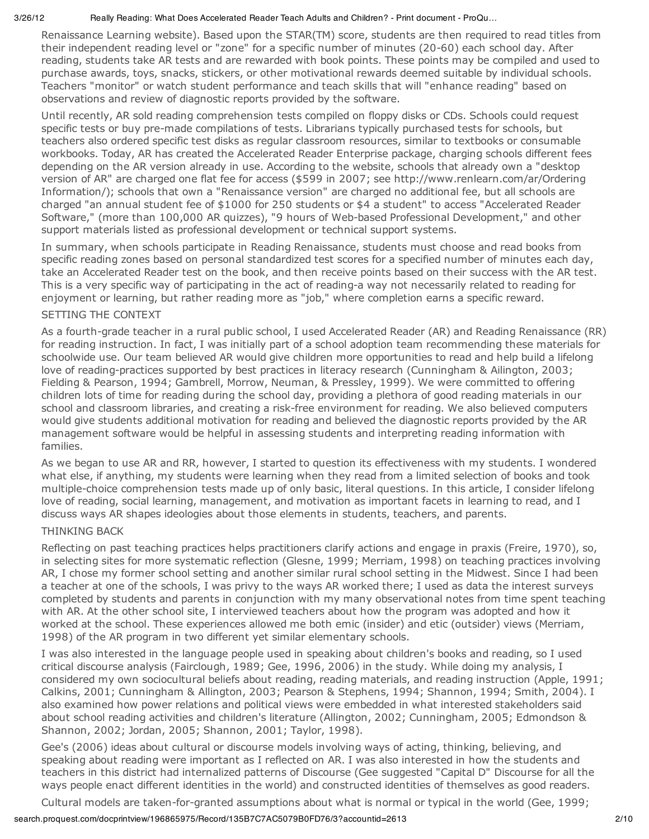Renaissance Learning website). Based upon the STAR(TM) score, students are then required to read titles from their independent reading level or "zone" for a specific number of minutes (20-60) each school day. After reading, students take AR tests and are rewarded with book points. These points may be compiled and used to purchase awards, toys, snacks, stickers, or other motivational rewards deemed suitable by individual schools. Teachers "monitor" or watch student performance and teach skills that will "enhance reading" based on observations and review of diagnostic reports provided by the software.

Until recently, AR sold reading comprehension tests compiled on floppy disks or CDs. Schools could request specific tests or buy pre-made compilations of tests. Librarians typically purchased tests for schools, but teachers also ordered specific test disks as regular classroom resources, similar to textbooks or consumable workbooks. Today, AR has created the Accelerated Reader Enterprise package, charging schools different fees depending on the AR version already in use. According to the website, schools that already own a "desktop version of AR" are charged one flat fee for access (\$599 in 2007; see http://www.renlearn.com/ar/Ordering Information/); schools that own a "Renaissance version" are charged no additional fee, but all schools are charged "an annual student fee of \$1000 for 250 students or \$4 a student" to access "Accelerated Reader Software," (more than 100,000 AR quizzes), "9 hours of Web-based Professional Development," and other support materials listed as professional development or technical support systems.

In summary, when schools participate in Reading Renaissance, students must choose and read books from specific reading zones based on personal standardized test scores for a specified number of minutes each day, take an Accelerated Reader test on the book, and then receive points based on their success with the AR test. This is a very specific way of participating in the act of reading-a way not necessarily related to reading for enjoyment or learning, but rather reading more as "job," where completion earns a specific reward.

#### SETTING THE CONTEXT

As a fourth-grade teacher in a rural public school, I used Accelerated Reader (AR) and Reading Renaissance (RR) for reading instruction. In fact, I was initially part of a school adoption team recommending these materials for schoolwide use. Our team believed AR would give children more opportunities to read and help build a lifelong love of reading-practices supported by best practices in literacy research (Cunningham & Ailington, 2003; Fielding & Pearson, 1994; Gambrell, Morrow, Neuman, & Pressley, 1999). We were committed to offering children lots of time for reading during the school day, providing a plethora of good reading materials in our school and classroom libraries, and creating a risk-free environment for reading. We also believed computers would give students additional motivation for reading and believed the diagnostic reports provided by the AR management software would be helpful in assessing students and interpreting reading information with families.

As we began to use AR and RR, however, I started to question its effectiveness with my students. I wondered what else, if anything, my students were learning when they read from a limited selection of books and took multiple-choice comprehension tests made up of only basic, literal questions. In this article, I consider lifelong love of reading, social learning, management, and motivation as important facets in learning to read, and I discuss ways AR shapes ideologies about those elements in students, teachers, and parents.

#### THINKING BACK

Reflecting on past teaching practices helps practitioners clarify actions and engage in praxis (Freire, 1970), so, in selecting sites for more systematic reflection (Glesne, 1999; Merriam, 1998) on teaching practices involving AR, I chose my former school setting and another similar rural school setting in the Midwest. Since I had been a teacher at one of the schools, I was privy to the ways AR worked there; I used as data the interest surveys completed by students and parents in conjunction with my many observational notes from time spent teaching with AR. At the other school site, I interviewed teachers about how the program was adopted and how it worked at the school. These experiences allowed me both emic (insider) and etic (outsider) views (Merriam, 1998) of the AR program in two different yet similar elementary schools.

I was also interested in the language people used in speaking about children's books and reading, so I used critical discourse analysis (Fairclough, 1989; Gee, 1996, 2006) in the study. While doing my analysis, I considered my own sociocultural beliefs about reading, reading materials, and reading instruction (Apple, 1991; Calkins, 2001; Cunningham & Allington, 2003; Pearson & Stephens, 1994; Shannon, 1994; Smith, 2004). I also examined how power relations and political views were embedded in what interested stakeholders said about school reading activities and children's literature (Allington, 2002; Cunningham, 2005; Edmondson & Shannon, 2002; Jordan, 2005; Shannon, 2001; Taylor, 1998).

Gee's (2006) ideas about cultural or discourse models involving ways of acting, thinking, believing, and speaking about reading were important as I reflected on AR. I was also interested in how the students and teachers in this district had internalized patterns of Discourse (Gee suggested "Capital D" Discourse for all the ways people enact different identities in the world) and constructed identities of themselves as good readers.

Cultural models are taken-for-granted assumptions about what is normal or typical in the world (Gee, 1999;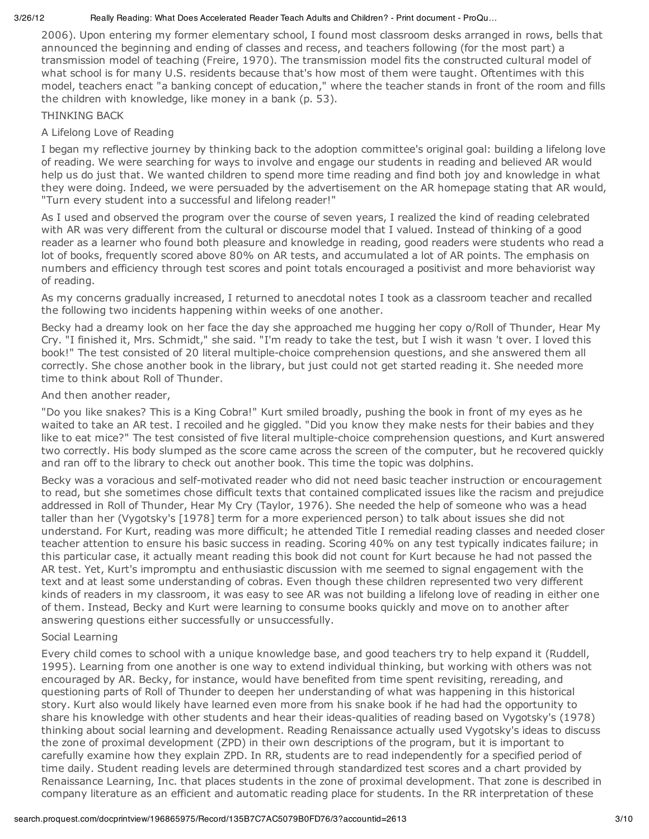2006). Upon entering my former elementary school, I found most classroom desks arranged in rows, bells that announced the beginning and ending of classes and recess, and teachers following (for the most part) a transmission model of teaching (Freire, 1970). The transmission model fits the constructed cultural model of what school is for many U.S. residents because that's how most of them were taught. Oftentimes with this model, teachers enact "a banking concept of education," where the teacher stands in front of the room and fills the children with knowledge, like money in a bank (p. 53).

THINKING BACK

#### A Lifelong Love of Reading

I began my reflective journey by thinking back to the adoption committee's original goal: building a lifelong love of reading. We were searching for ways to involve and engage our students in reading and believed AR would help us do just that. We wanted children to spend more time reading and find both joy and knowledge in what they were doing. Indeed, we were persuaded by the advertisement on the AR homepage stating that AR would, "Turn every student into a successful and lifelong reader!"

As I used and observed the program over the course of seven years, I realized the kind of reading celebrated with AR was very different from the cultural or discourse model that I valued. Instead of thinking of a good reader as a learner who found both pleasure and knowledge in reading, good readers were students who read a lot of books, frequently scored above 80% on AR tests, and accumulated a lot of AR points. The emphasis on numbers and efficiency through test scores and point totals encouraged a positivist and more behaviorist way of reading.

As my concerns gradually increased, I returned to anecdotal notes I took as a classroom teacher and recalled the following two incidents happening within weeks of one another.

Becky had a dreamy look on her face the day she approached me hugging her copy o/Roll of Thunder, Hear My Cry. "I finished it, Mrs. Schmidt," she said. "I'm ready to take the test, but I wish it wasn 't over. I loved this book!" The test consisted of 20 literal multiple-choice comprehension questions, and she answered them all correctly. She chose another book in the library, but just could not get started reading it. She needed more time to think about Roll of Thunder.

#### And then another reader,

"Do you like snakes? This is a King Cobra!" Kurt smiled broadly, pushing the book in front of my eyes as he waited to take an AR test. I recoiled and he giggled. "Did you know they make nests for their babies and they like to eat mice?" The test consisted of five literal multiple-choice comprehension questions, and Kurt answered two correctly. His body slumped as the score came across the screen of the computer, but he recovered quickly and ran off to the library to check out another book. This time the topic was dolphins.

Becky was a voracious and self-motivated reader who did not need basic teacher instruction or encouragement to read, but she sometimes chose difficult texts that contained complicated issues like the racism and prejudice addressed in Roll of Thunder, Hear My Cry (Taylor, 1976). She needed the help of someone who was a head taller than her (Vygotsky's [1978] term for a more experienced person) to talk about issues she did not understand. For Kurt, reading was more difficult; he attended Title I remedial reading classes and needed closer teacher attention to ensure his basic success in reading. Scoring 40% on any test typically indicates failure; in this particular case, it actually meant reading this book did not count for Kurt because he had not passed the AR test. Yet, Kurt's impromptu and enthusiastic discussion with me seemed to signal engagement with the text and at least some understanding of cobras. Even though these children represented two very different kinds of readers in my classroom, it was easy to see AR was not building a lifelong love of reading in either one of them. Instead, Becky and Kurt were learning to consume books quickly and move on to another after answering questions either successfully or unsuccessfully.

#### Social Learning

Every child comes to school with a unique knowledge base, and good teachers try to help expand it (Ruddell, 1995). Learning from one another is one way to extend individual thinking, but working with others was not encouraged by AR. Becky, for instance, would have benefited from time spent revisiting, rereading, and questioning parts of Roll of Thunder to deepen her understanding of what was happening in this historical story. Kurt also would likely have learned even more from his snake book if he had had the opportunity to share his knowledge with other students and hear their ideas-qualities of reading based on Vygotsky's (1978) thinking about social learning and development. Reading Renaissance actually used Vygotsky's ideas to discuss the zone of proximal development (ZPD) in their own descriptions of the program, but it is important to carefully examine how they explain ZPD. In RR, students are to read independently for a specified period of time daily. Student reading levels are determined through standardized test scores and a chart provided by Renaissance Learning, Inc. that places students in the zone of proximal development. That zone is described in company literature as an efficient and automatic reading place for students. In the RR interpretation of these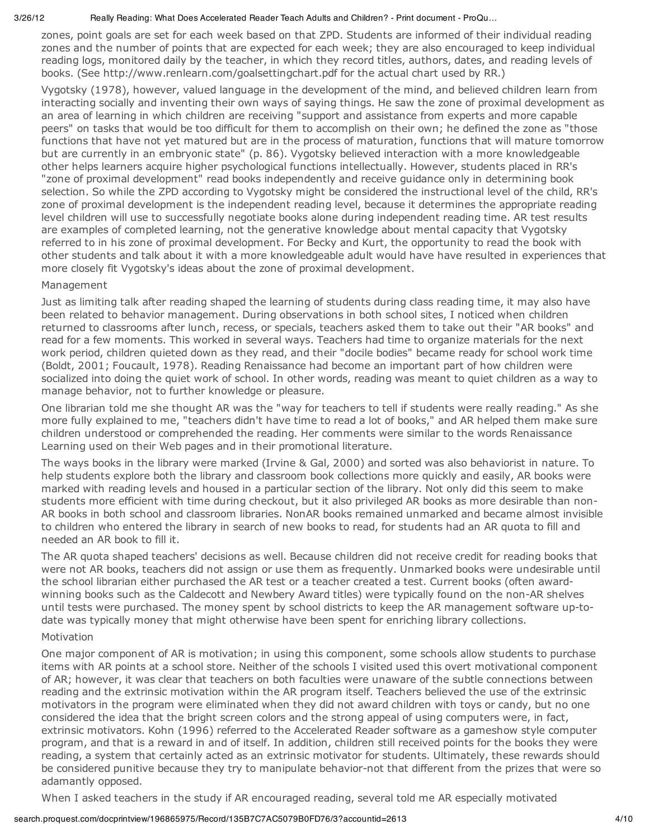zones, point goals are set for each week based on that ZPD. Students are informed of their individual reading zones and the number of points that are expected for each week; they are also encouraged to keep individual reading logs, monitored daily by the teacher, in which they record titles, authors, dates, and reading levels of books. (See http://www.renlearn.com/goalsettingchart.pdf for the actual chart used by RR.)

Vygotsky (1978), however, valued language in the development of the mind, and believed children learn from interacting socially and inventing their own ways of saying things. He saw the zone of proximal development as an area of learning in which children are receiving "support and assistance from experts and more capable peers" on tasks that would be too difficult for them to accomplish on their own; he defined the zone as "those functions that have not yet matured but are in the process of maturation, functions that will mature tomorrow but are currently in an embryonic state" (p. 86). Vygotsky believed interaction with a more knowledgeable other helps learners acquire higher psychological functions intellectually. However, students placed in RR's "zone of proximal development" read books independently and receive guidance only in determining book selection. So while the ZPD according to Vygotsky might be considered the instructional level of the child, RR's zone of proximal development is the independent reading level, because it determines the appropriate reading level children will use to successfully negotiate books alone during independent reading time. AR test results are examples of completed learning, not the generative knowledge about mental capacity that Vygotsky referred to in his zone of proximal development. For Becky and Kurt, the opportunity to read the book with other students and talk about it with a more knowledgeable adult would have have resulted in experiences that more closely fit Vygotsky's ideas about the zone of proximal development.

#### Management

Just as limiting talk after reading shaped the learning of students during class reading time, it may also have been related to behavior management. During observations in both school sites, I noticed when children returned to classrooms after lunch, recess, or specials, teachers asked them to take out their "AR books" and read for a few moments. This worked in several ways. Teachers had time to organize materials for the next work period, children quieted down as they read, and their "docile bodies" became ready for school work time (Boldt, 2001; Foucault, 1978). Reading Renaissance had become an important part of how children were socialized into doing the quiet work of school. In other words, reading was meant to quiet children as a way to manage behavior, not to further knowledge or pleasure.

One librarian told me she thought AR was the "way for teachers to tell if students were really reading." As she more fully explained to me, "teachers didn't have time to read a lot of books," and AR helped them make sure children understood or comprehended the reading. Her comments were similar to the words Renaissance Learning used on their Web pages and in their promotional literature.

The ways books in the library were marked (Irvine & Gal, 2000) and sorted was also behaviorist in nature. To help students explore both the library and classroom book collections more quickly and easily, AR books were marked with reading levels and housed in a particular section of the library. Not only did this seem to make students more efficient with time during checkout, but it also privileged AR books as more desirable than non-AR books in both school and classroom libraries. NonAR books remained unmarked and became almost invisible to children who entered the library in search of new books to read, for students had an AR quota to fill and needed an AR book to fill it.

The AR quota shaped teachers' decisions as well. Because children did not receive credit for reading books that were not AR books, teachers did not assign or use them as frequently. Unmarked books were undesirable until the school librarian either purchased the AR test or a teacher created a test. Current books (often awardwinning books such as the Caldecott and Newbery Award titles) were typically found on the non-AR shelves until tests were purchased. The money spent by school districts to keep the AR management software up-todate was typically money that might otherwise have been spent for enriching library collections.

#### Motivation

One major component of AR is motivation; in using this component, some schools allow students to purchase items with AR points at a school store. Neither of the schools I visited used this overt motivational component of AR; however, it was clear that teachers on both faculties were unaware of the subtle connections between reading and the extrinsic motivation within the AR program itself. Teachers believed the use of the extrinsic motivators in the program were eliminated when they did not award children with toys or candy, but no one considered the idea that the bright screen colors and the strong appeal of using computers were, in fact, extrinsic motivators. Kohn (1996) referred to the Accelerated Reader software as a gameshow style computer program, and that is a reward in and of itself. In addition, children still received points for the books they were reading, a system that certainly acted as an extrinsic motivator for students. Ultimately, these rewards should be considered punitive because they try to manipulate behavior-not that different from the prizes that were so adamantly opposed.

When I asked teachers in the study if AR encouraged reading, several told me AR especially motivated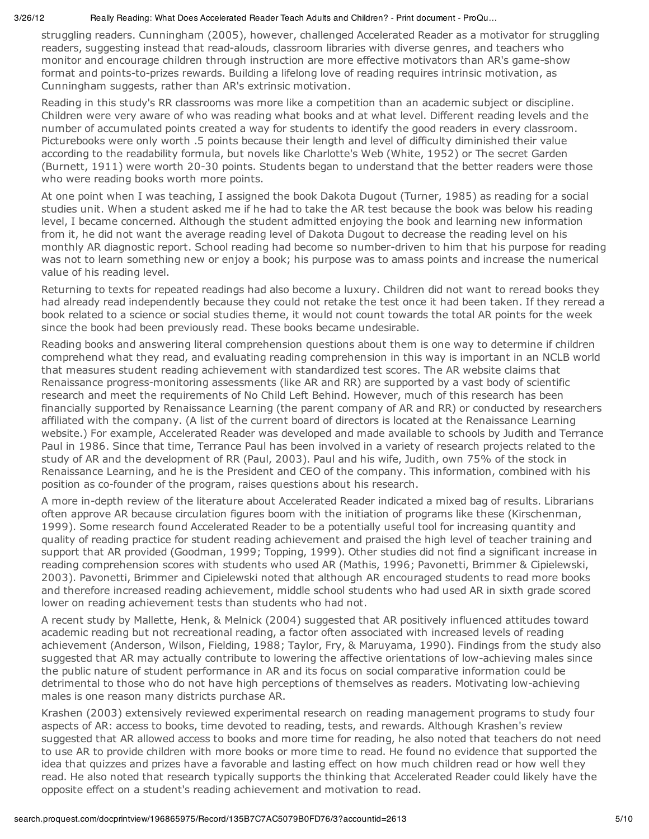struggling readers. Cunningham (2005), however, challenged Accelerated Reader as a motivator for struggling readers, suggesting instead that read-alouds, classroom libraries with diverse genres, and teachers who monitor and encourage children through instruction are more effective motivators than AR's game-show format and points-to-prizes rewards. Building a lifelong love of reading requires intrinsic motivation, as Cunningham suggests, rather than AR's extrinsic motivation.

Reading in this study's RR classrooms was more like a competition than an academic subject or discipline. Children were very aware of who was reading what books and at what level. Different reading levels and the number of accumulated points created a way for students to identify the good readers in every classroom. Picturebooks were only worth .5 points because their length and level of difficulty diminished their value according to the readability formula, but novels like Charlotte's Web (White, 1952) or The secret Garden (Burnett, 1911) were worth 20-30 points. Students began to understand that the better readers were those who were reading books worth more points.

At one point when I was teaching, I assigned the book Dakota Dugout (Turner, 1985) as reading for a social studies unit. When a student asked me if he had to take the AR test because the book was below his reading level, I became concerned. Although the student admitted enjoying the book and learning new information from it, he did not want the average reading level of Dakota Dugout to decrease the reading level on his monthly AR diagnostic report. School reading had become so number-driven to him that his purpose for reading was not to learn something new or enjoy a book; his purpose was to amass points and increase the numerical value of his reading level.

Returning to texts for repeated readings had also become a luxury. Children did not want to reread books they had already read independently because they could not retake the test once it had been taken. If they reread a book related to a science or social studies theme, it would not count towards the total AR points for the week since the book had been previously read. These books became undesirable.

Reading books and answering literal comprehension questions about them is one way to determine if children comprehend what they read, and evaluating reading comprehension in this way is important in an NCLB world that measures student reading achievement with standardized test scores. The AR website claims that Renaissance progress-monitoring assessments (like AR and RR) are supported by a vast body of scientific research and meet the requirements of No Child Left Behind. However, much of this research has been financially supported by Renaissance Learning (the parent company of AR and RR) or conducted by researchers affiliated with the company. (A list of the current board of directors is located at the Renaissance Learning website.) For example, Accelerated Reader was developed and made available to schools by Judith and Terrance Paul in 1986. Since that time, Terrance Paul has been involved in a variety of research projects related to the study of AR and the development of RR (Paul, 2003). Paul and his wife, Judith, own 75% of the stock in Renaissance Learning, and he is the President and CEO of the company. This information, combined with his position as co-founder of the program, raises questions about his research.

A more in-depth review of the literature about Accelerated Reader indicated a mixed bag of results. Librarians often approve AR because circulation figures boom with the initiation of programs like these (Kirschenman, 1999). Some research found Accelerated Reader to be a potentially useful tool for increasing quantity and quality of reading practice for student reading achievement and praised the high level of teacher training and support that AR provided (Goodman, 1999; Topping, 1999). Other studies did not find a significant increase in reading comprehension scores with students who used AR (Mathis, 1996; Pavonetti, Brimmer & Cipielewski, 2003). Pavonetti, Brimmer and Cipielewski noted that although AR encouraged students to read more books and therefore increased reading achievement, middle school students who had used AR in sixth grade scored lower on reading achievement tests than students who had not.

A recent study by Mallette, Henk, & Melnick (2004) suggested that AR positively influenced attitudes toward academic reading but not recreational reading, a factor often associated with increased levels of reading achievement (Anderson, Wilson, Fielding, 1988; Taylor, Fry, & Maruyama, 1990). Findings from the study also suggested that AR may actually contribute to lowering the affective orientations of low-achieving males since the public nature of student performance in AR and its focus on social comparative information could be detrimental to those who do not have high perceptions of themselves as readers. Motivating low-achieving males is one reason many districts purchase AR.

Krashen (2003) extensively reviewed experimental research on reading management programs to study four aspects of AR: access to books, time devoted to reading, tests, and rewards. Although Krashen's review suggested that AR allowed access to books and more time for reading, he also noted that teachers do not need to use AR to provide children with more books or more time to read. He found no evidence that supported the idea that quizzes and prizes have a favorable and lasting effect on how much children read or how well they read. He also noted that research typically supports the thinking that Accelerated Reader could likely have the opposite effect on a student's reading achievement and motivation to read.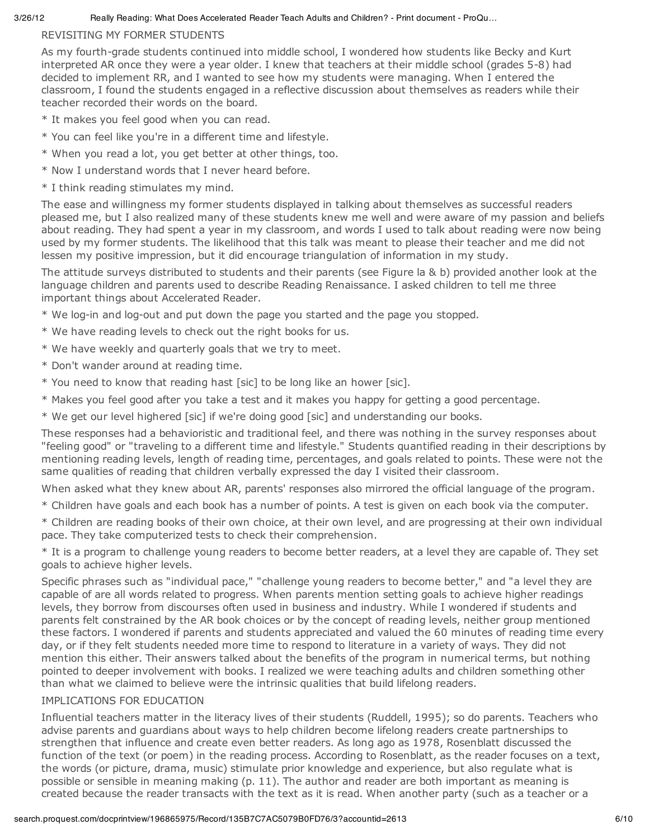#### REVISITING MY FORMER STUDENTS

As my fourth-grade students continued into middle school, I wondered how students like Becky and Kurt interpreted AR once they were a year older. I knew that teachers at their middle school (grades 5-8) had decided to implement RR, and I wanted to see how my students were managing. When I entered the classroom, I found the students engaged in a reflective discussion about themselves as readers while their teacher recorded their words on the board.

- \* It makes you feel good when you can read.
- \* You can feel like you're in a different time and lifestyle.
- \* When you read a lot, you get better at other things, too.
- \* Now I understand words that I never heard before.
- \* I think reading stimulates my mind.

The ease and willingness my former students displayed in talking about themselves as successful readers pleased me, but I also realized many of these students knew me well and were aware of my passion and beliefs about reading. They had spent a year in my classroom, and words I used to talk about reading were now being used by my former students. The likelihood that this talk was meant to please their teacher and me did not lessen my positive impression, but it did encourage triangulation of information in my study.

The attitude surveys distributed to students and their parents (see Figure la & b) provided another look at the language children and parents used to describe Reading Renaissance. I asked children to tell me three important things about Accelerated Reader.

- \* We log-in and log-out and put down the page you started and the page you stopped.
- \* We have reading levels to check out the right books for us.
- \* We have weekly and quarterly goals that we try to meet.
- \* Don't wander around at reading time.
- \* You need to know that reading hast [sic] to be long like an hower [sic].
- \* Makes you feel good after you take a test and it makes you happy for getting a good percentage.
- \* We get our level highered [sic] if we're doing good [sic] and understanding our books.

These responses had a behavioristic and traditional feel, and there was nothing in the survey responses about "feeling good" or "traveling to a different time and lifestyle." Students quantified reading in their descriptions by mentioning reading levels, length of reading time, percentages, and goals related to points. These were not the same qualities of reading that children verbally expressed the day I visited their classroom.

When asked what they knew about AR, parents' responses also mirrored the official language of the program.

\* Children have goals and each book has a number of points. A test is given on each book via the computer.

\* Children are reading books of their own choice, at their own level, and are progressing at their own individual pace. They take computerized tests to check their comprehension.

\* It is a program to challenge young readers to become better readers, at a level they are capable of. They set goals to achieve higher levels.

Specific phrases such as "individual pace," "challenge young readers to become better," and "a level they are capable of are all words related to progress. When parents mention setting goals to achieve higher readings levels, they borrow from discourses often used in business and industry. While I wondered if students and parents felt constrained by the AR book choices or by the concept of reading levels, neither group mentioned these factors. I wondered if parents and students appreciated and valued the 60 minutes of reading time every day, or if they felt students needed more time to respond to literature in a variety of ways. They did not mention this either. Their answers talked about the benefits of the program in numerical terms, but nothing pointed to deeper involvement with books. I realized we were teaching adults and children something other than what we claimed to believe were the intrinsic qualities that build lifelong readers.

#### IMPLICATIONS FOR EDUCATION

Influential teachers matter in the literacy lives of their students (Ruddell, 1995); so do parents. Teachers who advise parents and guardians about ways to help children become lifelong readers create partnerships to strengthen that influence and create even better readers. As long ago as 1978, Rosenblatt discussed the function of the text (or poem) in the reading process. According to Rosenblatt, as the reader focuses on a text, the words (or picture, drama, music) stimulate prior knowledge and experience, but also regulate what is possible or sensible in meaning making (p. 11). The author and reader are both important as meaning is created because the reader transacts with the text as it is read. When another party (such as a teacher or a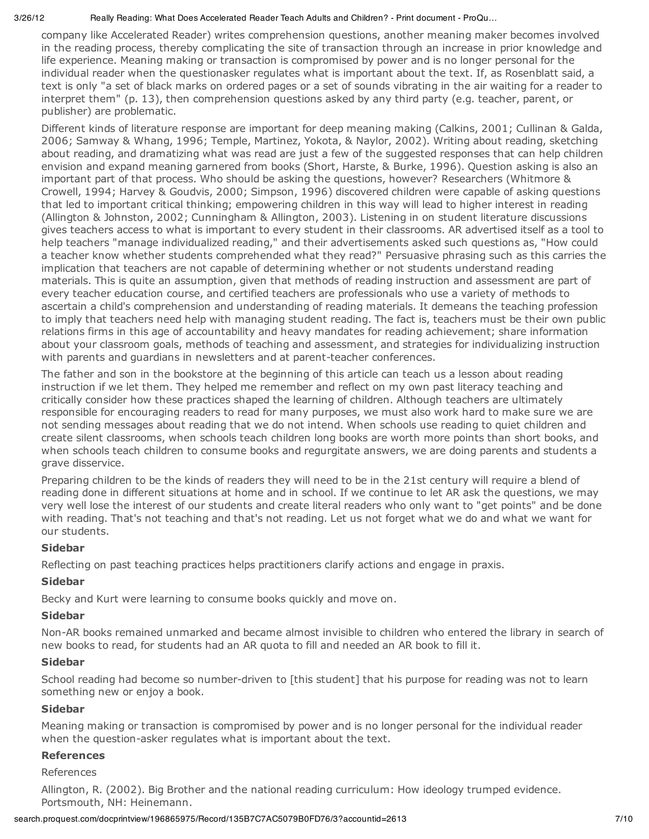company like Accelerated Reader) writes comprehension questions, another meaning maker becomes involved in the reading process, thereby complicating the site of transaction through an increase in prior knowledge and life experience. Meaning making or transaction is compromised by power and is no longer personal for the individual reader when the questionasker regulates what is important about the text. If, as Rosenblatt said, a text is only "a set of black marks on ordered pages or a set of sounds vibrating in the air waiting for a reader to interpret them" (p. 13), then comprehension questions asked by any third party (e.g. teacher, parent, or publisher) are problematic.

Different kinds of literature response are important for deep meaning making (Calkins, 2001; Cullinan & Galda, 2006; Samway & Whang, 1996; Temple, Martinez, Yokota, & Naylor, 2002). Writing about reading, sketching about reading, and dramatizing what was read are just a few of the suggested responses that can help children envision and expand meaning garnered from books (Short, Harste, & Burke, 1996). Question asking is also an important part of that process. Who should be asking the questions, however? Researchers (Whitmore & Crowell, 1994; Harvey & Goudvis, 2000; Simpson, 1996) discovered children were capable of asking questions that led to important critical thinking; empowering children in this way will lead to higher interest in reading (Allington & Johnston, 2002; Cunningham & Allington, 2003). Listening in on student literature discussions gives teachers access to what is important to every student in their classrooms. AR advertised itself as a tool to help teachers "manage individualized reading," and their advertisements asked such questions as, "How could a teacher know whether students comprehended what they read?" Persuasive phrasing such as this carries the implication that teachers are not capable of determining whether or not students understand reading materials. This is quite an assumption, given that methods of reading instruction and assessment are part of every teacher education course, and certified teachers are professionals who use a variety of methods to ascertain a child's comprehension and understanding of reading materials. It demeans the teaching profession to imply that teachers need help with managing student reading. The fact is, teachers must be their own public relations firms in this age of accountability and heavy mandates for reading achievement; share information about your classroom goals, methods of teaching and assessment, and strategies for individualizing instruction with parents and guardians in newsletters and at parent-teacher conferences.

The father and son in the bookstore at the beginning of this article can teach us a lesson about reading instruction if we let them. They helped me remember and reflect on my own past literacy teaching and critically consider how these practices shaped the learning of children. Although teachers are ultimately responsible for encouraging readers to read for many purposes, we must also work hard to make sure we are not sending messages about reading that we do not intend. When schools use reading to quiet children and create silent classrooms, when schools teach children long books are worth more points than short books, and when schools teach children to consume books and regurgitate answers, we are doing parents and students a grave disservice.

Preparing children to be the kinds of readers they will need to be in the 21st century will require a blend of reading done in different situations at home and in school. If we continue to let AR ask the questions, we may very well lose the interest of our students and create literal readers who only want to "get points" and be done with reading. That's not teaching and that's not reading. Let us not forget what we do and what we want for our students.

#### **Sidebar**

Reflecting on past teaching practices helps practitioners clarify actions and engage in praxis.

#### **Sidebar**

Becky and Kurt were learning to consume books quickly and move on.

#### **Sidebar**

Non-AR books remained unmarked and became almost invisible to children who entered the library in search of new books to read, for students had an AR quota to fill and needed an AR book to fill it.

#### **Sidebar**

School reading had become so number-driven to [this student] that his purpose for reading was not to learn something new or enjoy a book.

#### **Sidebar**

Meaning making or transaction is compromised by power and is no longer personal for the individual reader when the question-asker regulates what is important about the text.

#### **References**

References

Allington, R. (2002). Big Brother and the national reading curriculum: How ideology trumped evidence. Portsmouth, NH: Heinemann.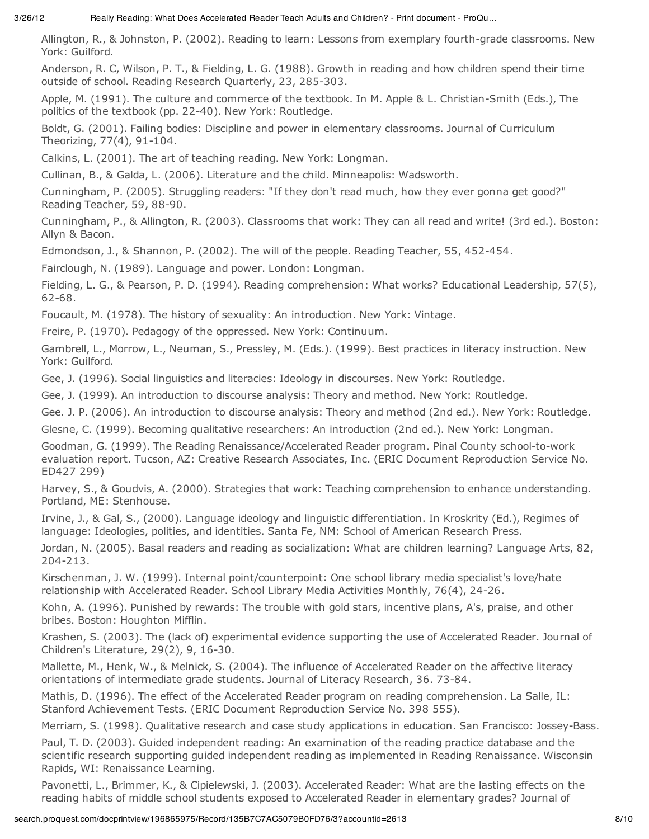Allington, R., & Johnston, P. (2002). Reading to learn: Lessons from exemplary fourth-grade classrooms. New York: Guilford.

Anderson, R. C, Wilson, P. T., & Fielding, L. G. (1988). Growth in reading and how children spend their time outside of school. Reading Research Quarterly, 23, 285-303.

Apple, M. (1991). The culture and commerce of the textbook. In M. Apple & L. Christian-Smith (Eds.), The politics of the textbook (pp. 22-40). New York: Routledge.

Boldt, G. (2001). Failing bodies: Discipline and power in elementary classrooms. Journal of Curriculum Theorizing, 77(4), 91-104.

Calkins, L. (2001). The art of teaching reading. New York: Longman.

Cullinan, B., & Galda, L. (2006). Literature and the child. Minneapolis: Wadsworth.

Cunningham, P. (2005). Struggling readers: "If they don't read much, how they ever gonna get good?" Reading Teacher, 59, 88-90.

Cunningham, P., & Allington, R. (2003). Classrooms that work: They can all read and write! (3rd ed.). Boston: Allyn & Bacon.

Edmondson, J., & Shannon, P. (2002). The will of the people. Reading Teacher, 55, 452-454.

Fairclough, N. (1989). Language and power. London: Longman.

Fielding, L. G., & Pearson, P. D. (1994). Reading comprehension: What works? Educational Leadership, 57(5), 62-68.

Foucault, M. (1978). The history of sexuality: An introduction. New York: Vintage.

Freire, P. (1970). Pedagogy of the oppressed. New York: Continuum.

Gambrell, L., Morrow, L., Neuman, S., Pressley, M. (Eds.). (1999). Best practices in literacy instruction. New York: Guilford.

Gee, J. (1996). Social linguistics and literacies: Ideology in discourses. New York: Routledge.

Gee, J. (1999). An introduction to discourse analysis: Theory and method. New York: Routledge.

Gee. J. P. (2006). An introduction to discourse analysis: Theory and method (2nd ed.). New York: Routledge.

Glesne, C. (1999). Becoming qualitative researchers: An introduction (2nd ed.). New York: Longman.

Goodman, G. (1999). The Reading Renaissance/Accelerated Reader program. Pinal County school-to-work evaluation report. Tucson, AZ: Creative Research Associates, Inc. (ERIC Document Reproduction Service No. ED427 299)

Harvey, S., & Goudvis, A. (2000). Strategies that work: Teaching comprehension to enhance understanding. Portland, ME: Stenhouse.

Irvine, J., & Gal, S., (2000). Language ideology and linguistic differentiation. In Kroskrity (Ed.), Regimes of language: Ideologies, polities, and identities. Santa Fe, NM: School of American Research Press.

Jordan, N. (2005). Basal readers and reading as socialization: What are children learning? Language Arts, 82, 204-213.

Kirschenman, J. W. (1999). Internal point/counterpoint: One school library media specialist's love/hate relationship with Accelerated Reader. School Library Media Activities Monthly, 76(4), 24-26.

Kohn, A. (1996). Punished by rewards: The trouble with gold stars, incentive plans, A's, praise, and other bribes. Boston: Houghton Mifflin.

Krashen, S. (2003). The (lack of) experimental evidence supporting the use of Accelerated Reader. Journal of Children's Literature, 29(2), 9, 16-30.

Mallette, M., Henk, W., & Melnick, S. (2004). The influence of Accelerated Reader on the affective literacy orientations of intermediate grade students. Journal of Literacy Research, 36. 73-84.

Mathis, D. (1996). The effect of the Accelerated Reader program on reading comprehension. La Salle, IL: Stanford Achievement Tests. (ERIC Document Reproduction Service No. 398 555).

Merriam, S. (1998). Qualitative research and case study applications in education. San Francisco: Jossey-Bass.

Paul, T. D. (2003). Guided independent reading: An examination of the reading practice database and the scientific research supporting guided independent reading as implemented in Reading Renaissance. Wisconsin Rapids, WI: Renaissance Learning.

Pavonetti, L., Brimmer, K., & Cipielewski, J. (2003). Accelerated Reader: What are the lasting effects on the reading habits of middle school students exposed to Accelerated Reader in elementary grades? Journal of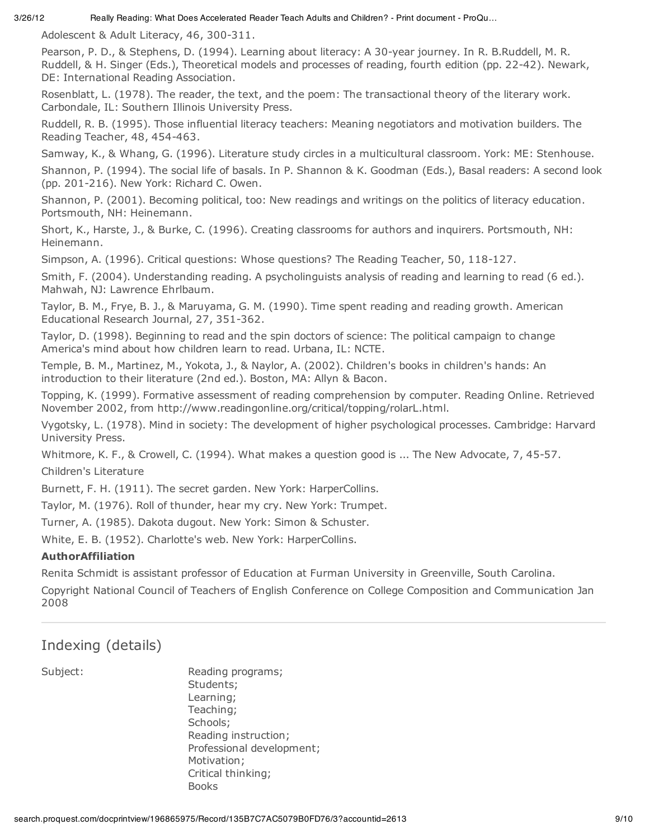Adolescent & Adult Literacy, 46, 300-311.

Pearson, P. D., & Stephens, D. (1994). Learning about literacy: A 30-year journey. In R. B.Ruddell, M. R. Ruddell, & H. Singer (Eds.), Theoretical models and processes of reading, fourth edition (pp. 22-42). Newark, DE: International Reading Association.

Rosenblatt, L. (1978). The reader, the text, and the poem: The transactional theory of the literary work. Carbondale, IL: Southern Illinois University Press.

Ruddell, R. B. (1995). Those influential literacy teachers: Meaning negotiators and motivation builders. The Reading Teacher, 48, 454-463.

Samway, K., & Whang, G. (1996). Literature study circles in a multicultural classroom. York: ME: Stenhouse.

Shannon, P. (1994). The social life of basals. In P. Shannon & K. Goodman (Eds.), Basal readers: A second look (pp. 201-216). New York: Richard C. Owen.

Shannon, P. (2001). Becoming political, too: New readings and writings on the politics of literacy education. Portsmouth, NH: Heinemann.

Short, K., Harste, J., & Burke, C. (1996). Creating classrooms for authors and inquirers. Portsmouth, NH: Heinemann.

Simpson, A. (1996). Critical questions: Whose questions? The Reading Teacher, 50, 118-127.

Smith, F. (2004). Understanding reading. A psycholinguists analysis of reading and learning to read (6 ed.). Mahwah, NJ: Lawrence Ehrlbaum.

Taylor, B. M., Frye, B. J., & Maruyama, G. M. (1990). Time spent reading and reading growth. American Educational Research Journal, 27, 351-362.

Taylor, D. (1998). Beginning to read and the spin doctors of science: The political campaign to change America's mind about how children learn to read. Urbana, IL: NCTE.

Temple, B. M., Martinez, M., Yokota, J., & Naylor, A. (2002). Children's books in children's hands: An introduction to their literature (2nd ed.). Boston, MA: Allyn & Bacon.

Topping, K. (1999). Formative assessment of reading comprehension by computer. Reading Online. Retrieved November 2002, from http://www.readingonline.org/critical/topping/rolarL.html.

Vygotsky, L. (1978). Mind in society: The development of higher psychological processes. Cambridge: Harvard University Press.

Whitmore, K. F., & Crowell, C. (1994). What makes a question good is ... The New Advocate, 7, 45-57. Children's Literature

Burnett, F. H. (1911). The secret garden. New York: HarperCollins.

Taylor, M. (1976). Roll of thunder, hear my cry. New York: Trumpet.

Turner, A. (1985). Dakota dugout. New York: Simon & Schuster.

White, E. B. (1952). Charlotte's web. New York: HarperCollins.

#### **AuthorAffiliation**

Renita Schmidt is assistant professor of Education at Furman University in Greenville, South Carolina.

Copyright National Council of Teachers of English Conference on College Composition and Communication Jan 2008

### Indexing (details)

Subject: Reading programs; Students; Learning; Teaching; Schools; Reading instruction; Professional development; Motivation; Critical thinking; Books